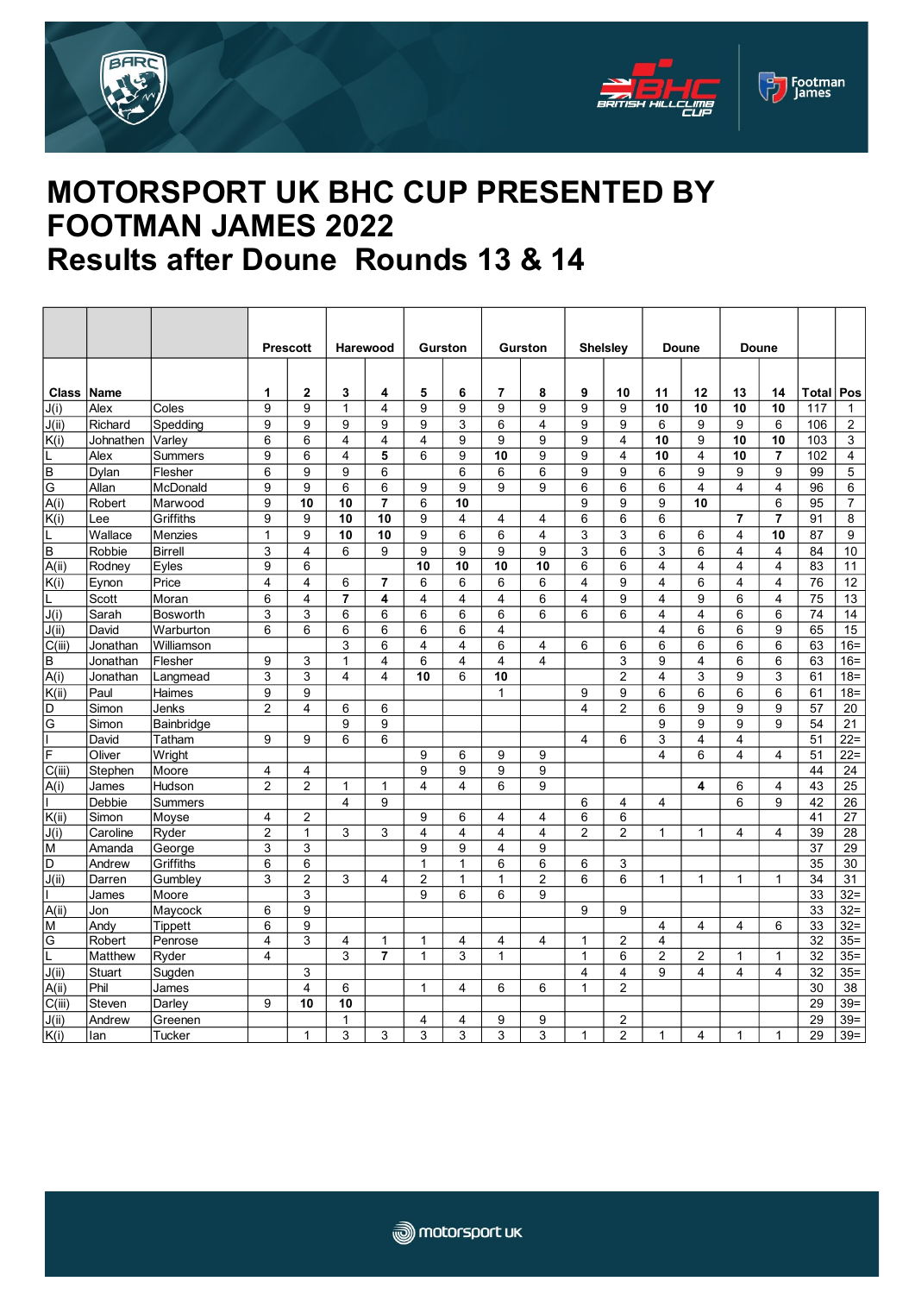





## **MOTORSPORT UK BHC CUP PRESENTED BY FOOTMAN JAMES 2022 Results after Doune Rounds 13 & 14**

|                         |                   |                 | <b>Prescott</b>                  |                                  | Harewood       |                | <b>Gurston</b>          |                              | <b>Gurston</b> |                         | <b>Shelsley</b>         |                | <b>Doune</b>            |              | <b>Doune</b>            |                |          |                 |
|-------------------------|-------------------|-----------------|----------------------------------|----------------------------------|----------------|----------------|-------------------------|------------------------------|----------------|-------------------------|-------------------------|----------------|-------------------------|--------------|-------------------------|----------------|----------|-----------------|
|                         |                   |                 |                                  |                                  |                |                |                         |                              |                |                         |                         |                |                         |              |                         |                |          |                 |
| <b>Class Name</b>       |                   |                 | 1                                | 2                                | 3              | 4              | 5                       | 6                            | $\overline{7}$ | 8                       | 9                       | 10             | 11                      | 12           | 13                      | 14             | Total    | Pos             |
| J(i)                    | Alex              | Coles           | 9                                | 9                                | 1              | 4              | 9                       | 9                            | 9              | 9                       | 9                       | 9              | 10                      | 10           | 10                      | 10             | 117      | $\mathbf{1}$    |
| J(ii)                   | Richard           | Spedding        | 9                                | 9                                | 9              | 9              | 9                       | 3                            | 6              | $\overline{4}$          | 9                       | 9              | 6                       | 9            | 9                       | 6              | 106      | $\overline{2}$  |
| K(i)                    | Johnathen         | Varley          | $\,6$                            | 6                                | 4              | 4              | $\overline{\mathbf{4}}$ | 9                            | 9              | 9                       | 9                       | 4              | 10                      | 9            | 10                      | 10             | 103      | $\sqrt{3}$      |
|                         | Alex              | Summers         | 9                                | 6                                | 4              | 5              | 6                       | 9                            | 10             | 9                       | 9                       | 4              | 10                      | 4            | 10                      | $\overline{7}$ | 102      | $\overline{4}$  |
| B                       | Dylan             | Flesher         | 6                                | 9                                | 9              | 6              |                         | 6                            | 6              | 6                       | 9                       | 9              | 6                       | 9            | 9                       | 9              | 99       | 5               |
| G                       | Allan             | McDonald        | 9                                | 9                                | 6              | 6              | 9                       | 9                            | 9              | 9                       | 6                       | 6              | 6                       | 4            | $\overline{4}$          | $\overline{4}$ | 96       | 6               |
| A(i)                    | Robert            | Marwood         | 9                                | 10                               | 10             | $\overline{7}$ | 6                       | 10                           |                |                         | 9                       | 9              | 9                       | 10           |                         | 6              | 95       | $\overline{7}$  |
| K(i)                    | Lee               | Griffiths       | 9                                | 9                                | 10             | 10             | 9                       | $\overline{4}$               | $\overline{4}$ | 4                       | 6                       | 6              | 6                       |              | $\overline{7}$          | $\overline{7}$ | 91       | 8               |
|                         | Wallace           | <b>Menzies</b>  | $\mathbf{1}$                     | 9                                | 10             | 10             | 9                       | 6                            | 6              | $\overline{4}$          | 3                       | 3              | 6                       | 6            | $\overline{4}$          | 10             | 87       | 9               |
| B                       | Robbie            | <b>Birrell</b>  | 3                                | 4                                | 6              | 9              | 9                       | 9                            | 9              | 9                       | 3                       | 6              | 3                       | 6            | 4                       | $\overline{4}$ | 84       | 10              |
| A(ii)                   | Rodney            | Eyles           | 9                                | 6                                |                |                | 10                      | 10                           | 10             | 10                      | 6                       | 6              | 4                       | 4            | 4                       | $\overline{4}$ | 83       | 11              |
| K(i)                    | Eynon             | Price           | $\overline{4}$                   | 4                                | 6              | 7              | 6                       | 6                            | 6              | 6                       | 4                       | 9              | $\overline{\mathbf{4}}$ | 6            | 4                       | $\overline{4}$ | 76       | 12              |
|                         | Scott             | Moran           | 6                                | $\overline{4}$                   | $\overline{7}$ | 4              | 4                       | $\overline{4}$               | $\overline{4}$ | 6                       | $\overline{4}$          | 9              | $\overline{\mathbf{4}}$ | 9            | 6                       | $\overline{4}$ | 75       | 13              |
| J(i)                    | Sarah             | <b>Bosworth</b> | 3                                | 3                                | 6              | 6              | 6                       | 6                            | 6              | 6                       | 6                       | 6              | $\overline{4}$          | 4            | 6                       | 6              | 74       | 14              |
| J(ii)                   | David             | Warburton       | 6                                | 6                                | 6              | 6              | 6                       | 6                            | $\overline{4}$ |                         |                         |                | $\overline{\mathbf{4}}$ | 6            | 6                       | 9              | 65       | 15              |
| C(iii)                  | Jonathan          | Williamson      |                                  |                                  | 3              | 6              | 4                       | $\overline{4}$               | 6              | $\overline{4}$          | 6                       | 6              | 6                       | 6            | 6                       | 6              | 63       | $16 =$          |
| В                       | Jonathan          | Flesher         | 9                                | 3                                | $\mathbf{1}$   | 4              | 6                       | $\overline{\mathbf{4}}$      | $\overline{4}$ | $\overline{\mathbf{4}}$ |                         | 3              | 9                       | 4            | 6                       | 6              | 63       | $16 =$          |
| A(i)                    | Jonathan          | Langmead        | 3                                | 3                                | 4              | 4              | 10                      | 6                            | 10             |                         |                         | $\overline{2}$ | 4                       | 3            | 9                       | 3              | 61       | $18 =$          |
| K(ii)                   | Paul              | Haimes          | 9                                | 9                                |                |                |                         |                              | $\mathbf{1}$   |                         | 9                       | 9              | 6                       | 6            | 6                       | 6              | 61       | $18 =$          |
| D                       | Simon             | Jenks           | $\overline{2}$                   | 4                                | 6              | 6              |                         |                              |                |                         | 4                       | $\overline{2}$ | 6                       | 9            | 9                       | 9              | 57       | 20              |
| G                       | Simon             | Bainbridge      |                                  |                                  | 9              | 9              |                         |                              |                |                         |                         |                | 9                       | 9            | 9                       | 9              | 54       | 21              |
|                         | David             | Tatham          | 9                                | 9                                | 6              | 6              |                         |                              |                |                         | $\overline{4}$          | 6              | 3                       | 4            | $\overline{4}$          |                | 51       | $22 =$          |
| F                       | Oliver            | Wright          |                                  |                                  |                |                | 9                       | 6                            | 9              | 9                       |                         |                | $\overline{\mathbf{4}}$ | 6            | $\overline{\mathbf{4}}$ | 4              | 51       | $22 =$          |
| C(iii)                  | Stephen<br>James  | Moore<br>Hudson | $\overline{4}$<br>$\overline{2}$ | $\overline{4}$<br>$\overline{2}$ | $\mathbf{1}$   | $\mathbf{1}$   | 9<br>4                  | 9<br>$\overline{\mathbf{4}}$ | 9<br>6         | 9<br>9                  |                         |                |                         | 4            | 6                       | 4              | 44<br>43 | 24<br>25        |
| A(i)                    | Debbie            |                 |                                  |                                  | 4              | 9              |                         |                              |                |                         |                         |                |                         |              | 6                       | 9              | 42       | 26              |
|                         |                   | <b>Summers</b>  | $\overline{4}$                   | 2                                |                |                | 9                       | 6                            | 4              | $\overline{4}$          | 6<br>6                  | 4<br>6         | 4                       |              |                         |                | 41       | 27              |
| K(ii)<br>J(i)           | Simon<br>Caroline | Moyse<br>Ryder  | $\overline{2}$                   | 1                                | 3              | 3              | 4                       | $\overline{\mathbf{4}}$      | 4              | 4                       | $\overline{2}$          | $\overline{2}$ | $\mathbf{1}$            | 1            | 4                       | 4              | 39       | $\overline{28}$ |
| $\overline{\mathsf{M}}$ | Amanda            | George          | 3                                | 3                                |                |                | 9                       | 9                            | $\overline{4}$ | 9                       |                         |                |                         |              |                         |                | 37       | 29              |
| D                       | Andrew            | Griffiths       | 6                                | 6                                |                |                | $\mathbf{1}$            | $\mathbf{1}$                 | 6              | 6                       | 6                       | 3              |                         |              |                         |                | 35       | 30              |
| J(ii)                   | Darren            | Gumbley         | 3                                | $\overline{2}$                   | 3              | 4              | $\overline{2}$          | $\mathbf{1}$                 | $\mathbf{1}$   | $\overline{2}$          | 6                       | 6              | $\mathbf{1}$            | $\mathbf{1}$ | $\mathbf{1}$            | $\mathbf{1}$   | 34       | 31              |
|                         | James             | Moore           |                                  | 3                                |                |                | 9                       | 6                            | 6              | 9                       |                         |                |                         |              |                         |                | 33       | $32 =$          |
| $\overline{A(i)}$       | Jon               | Maycock         | 6                                | 9                                |                |                |                         |                              |                |                         | 9                       | 9              |                         |              |                         |                | 33       | $32 =$          |
| M                       | Andv              | Tippett         | 6                                | 9                                |                |                |                         |                              |                |                         |                         |                | 4                       | 4            | $\overline{\mathbf{4}}$ | 6              | 33       | $32 =$          |
| $\overline{\mathsf{G}}$ | Robert            | Penrose         | $\overline{4}$                   | 3                                | 4              | 1              | $\mathbf{1}$            | $\overline{\mathbf{4}}$      | 4              | $\overline{4}$          | $\mathbf{1}$            | $\overline{2}$ | 4                       |              |                         |                | 32       | $35 =$          |
|                         | Matthew           | Ryder           | $\overline{4}$                   |                                  | 3              | $\overline{7}$ | 1                       | 3                            | 1              |                         | $\mathbf{1}$            | 6              | 2                       | 2            | 1                       | $\mathbf 1$    | 32       | $35=$           |
| J(ii)                   | Stuart            | Sugden          |                                  | 3                                |                |                |                         |                              |                |                         | $\overline{\mathbf{4}}$ | 4              | 9                       | 4            | $\overline{\mathbf{4}}$ | $\overline{4}$ | 32       | $35=$           |
| A(ii)                   | Phil              | James           |                                  | 4                                | 6              |                | $\mathbf{1}$            | 4                            | 6              | 6                       | $\mathbf{1}$            | $\overline{2}$ |                         |              |                         |                | 30       | 38              |
| C(iii)                  | Steven            | Darlev          | 9                                | 10                               | 10             |                |                         |                              |                |                         |                         |                |                         |              |                         |                | 29       | $39=$           |
| J(ii)                   | Andrew            | Greenen         |                                  |                                  | $\mathbf{1}$   |                | 4                       | 4                            | 9              | 9                       |                         | $\overline{2}$ |                         |              |                         |                | 29       | $39=$           |
| K(i)                    | lan               | <b>Tucker</b>   |                                  | 1                                | 3              | 3              | 3                       | 3                            | 3              | 3                       | 1                       | $\overline{2}$ | 1                       | 4            | $\mathbf{1}$            | 1              | 29       | $39=$           |